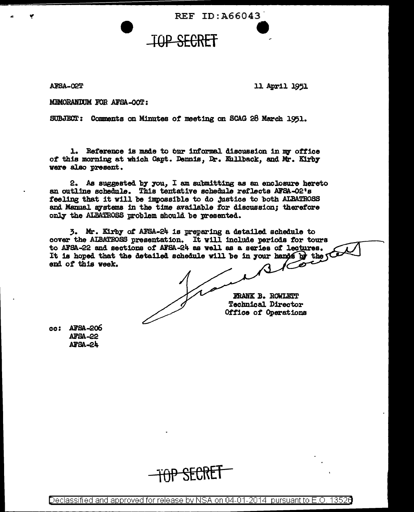REF ID: A66043

**TOP SECRET** 

ARSA-COT

11 April 1951

MEMORANDUM FOR AFSA-OOT:

SUBJECT: Comments on Minutes of meeting on SCAG 28 March 1951.

1. Reference is made to bur informal discussion in my office of this morning at which Capt. Dennis, Dr. Kullback, and Mr. Kirby vere also present.

2. As suggested by you. I am submitting as an enclosure hereto an outline schedule. This tentative schedule reflects AFSA-02's feeling that it will be impossible to do justice to both ALBATROSS and Manual systems in the time available for discussion; therefore only the ALBATROSS problem should be presented.

3. Mr. Kirby of AFSA-24 is preparing a detailed schedule to cover the ALBATROSS presentation. It will include periods for tours to AFSA-22 and sections of AFSA-24 as well as a series of lectures. It is hoped that the detailed schedule will be in your hands by the  $\sqrt{ }$ end of this week.

**FRANK B. ROWLETT Technical Director** Office of Operations

cc: AFSA-206 **AFSA-22 AFSA-24** 

Declassified and approved for release by NSA on 04-01-2014 pursuant to E.O. 1352O